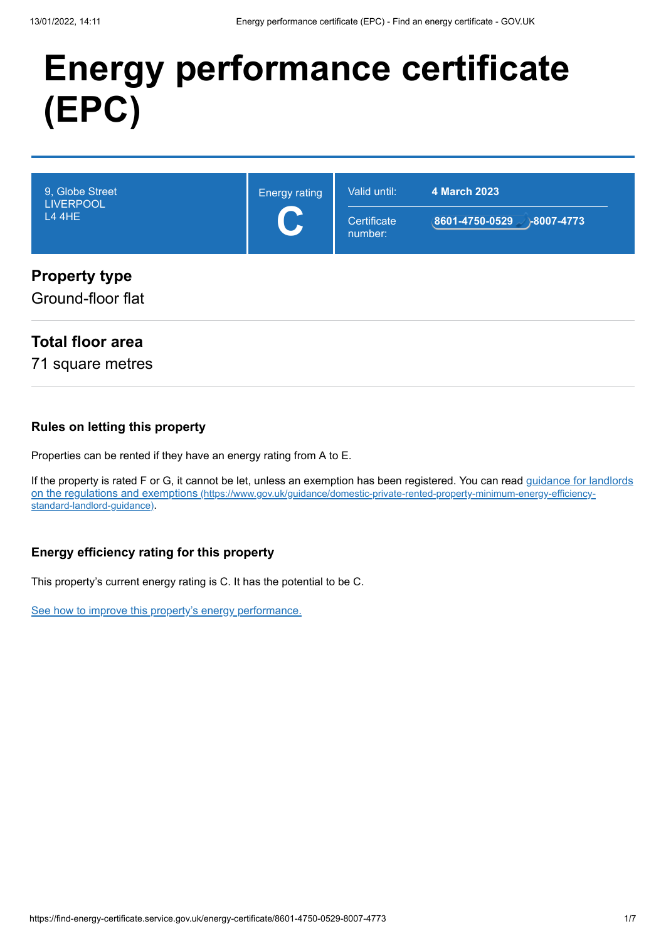# **Energy performance certificate (EPC)**

| 9, Globe Street      | <b>Energy rating</b> | Valid until: | 4 March 2023   |
|----------------------|----------------------|--------------|----------------|
| <b>LIVERPOOL</b>     |                      | Certificate  | 8601-4750-0529 |
| <b>L4 4HE</b>        |                      | number:      | $-8007 - 4773$ |
| <b>Property type</b> |                      |              |                |

Ground-floor flat

#### **Total floor area**

71 square metres

#### **Rules on letting this property**

Properties can be rented if they have an energy rating from A to E.

[If the property is rated F or G, it cannot be let, unless an exemption has been registered. You can read guidance for landlords](https://www.gov.uk/guidance/domestic-private-rented-property-minimum-energy-efficiency-standard-landlord-guidance) on the regulations and exemptions (https://www.gov.uk/guidance/domestic-private-rented-property-minimum-energy-efficiencystandard-landlord-guidance).

#### **Energy efficiency rating for this property**

This property's current energy rating is C. It has the potential to be C.

[See how to improve this property's energy performance.](#page-3-0)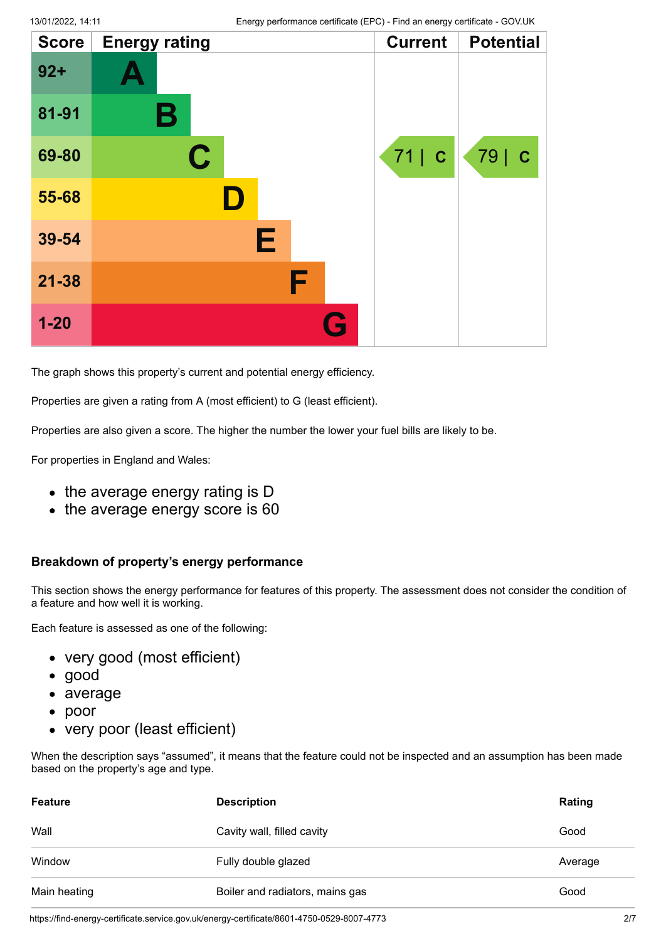| <b>Score</b> | <b>Energy rating</b> |   | <b>Current</b> | <b>Potential</b> |
|--------------|----------------------|---|----------------|------------------|
| $92 +$       |                      |   |                |                  |
| 81-91        | В                    |   |                |                  |
| 69-80        | C.                   |   | 71   C         | 79   C           |
| 55-68        |                      |   |                |                  |
| 39-54        |                      | Е |                |                  |
| $21 - 38$    |                      | F |                |                  |
| $1 - 20$     |                      |   |                |                  |

The graph shows this property's current and potential energy efficiency.

Properties are given a rating from A (most efficient) to G (least efficient).

Properties are also given a score. The higher the number the lower your fuel bills are likely to be.

For properties in England and Wales:

- the average energy rating is D
- the average energy score is 60

#### **Breakdown of property's energy performance**

This section shows the energy performance for features of this property. The assessment does not consider the condition of a feature and how well it is working.

Each feature is assessed as one of the following:

- very good (most efficient)
- good
- average
- poor
- very poor (least efficient)

When the description says "assumed", it means that the feature could not be inspected and an assumption has been made based on the property's age and type.

| <b>Feature</b> | <b>Description</b>              | Rating  |
|----------------|---------------------------------|---------|
| Wall           | Cavity wall, filled cavity      | Good    |
| Window         | Fully double glazed             | Average |
| Main heating   | Boiler and radiators, mains gas | Good    |

https://find-energy-certificate.service.gov.uk/energy-certificate/8601-4750-0529-8007-4773 2/7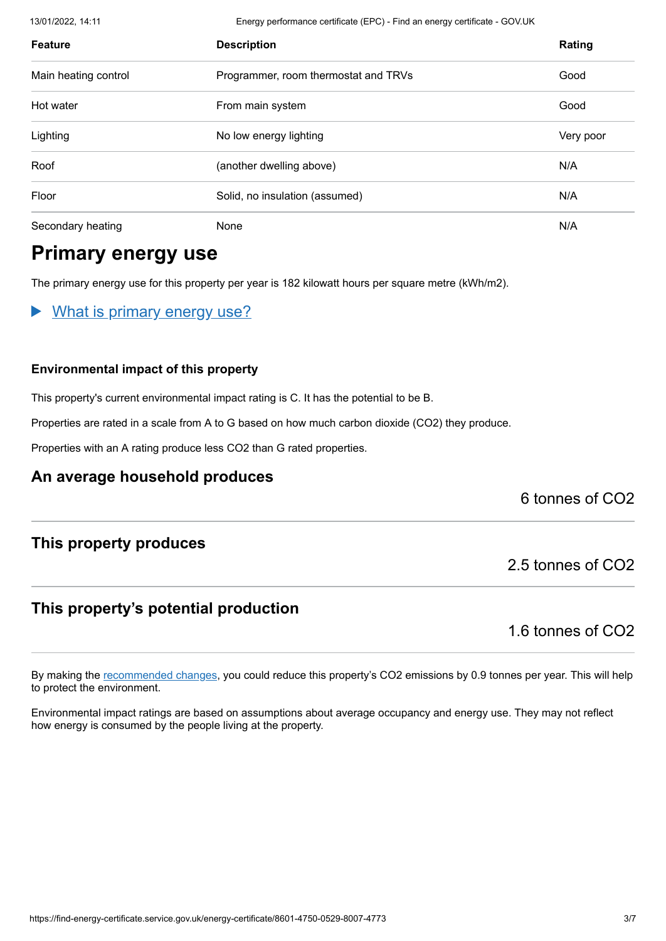13/01/2022, 14:11 Energy performance certificate (EPC) - Find an energy certificate - GOV.UK

| <b>Feature</b>       | <b>Description</b>                   | Rating    |
|----------------------|--------------------------------------|-----------|
| Main heating control | Programmer, room thermostat and TRVs | Good      |
| Hot water            | From main system                     | Good      |
| Lighting             | No low energy lighting               | Very poor |
| Roof                 | (another dwelling above)             | N/A       |
| Floor                | Solid, no insulation (assumed)       | N/A       |
| Secondary heating    | None                                 | N/A       |

### **Primary energy use**

The primary energy use for this property per year is 182 kilowatt hours per square metre (kWh/m2).

What is primary energy use?

#### **Environmental impact of this property**

This property's current environmental impact rating is C. It has the potential to be B.

Properties are rated in a scale from A to G based on how much carbon dioxide (CO2) they produce.

Properties with an A rating produce less CO2 than G rated properties.

#### **An average household produces**

6 tonnes of CO2

#### **This property produces**

#### **This property's potential production**

1.6 tonnes of CO2

2.5 tonnes of CO2

By making the [recommended changes](#page-3-0), you could reduce this property's CO2 emissions by 0.9 tonnes per year. This will help to protect the environment.

Environmental impact ratings are based on assumptions about average occupancy and energy use. They may not reflect how energy is consumed by the people living at the property.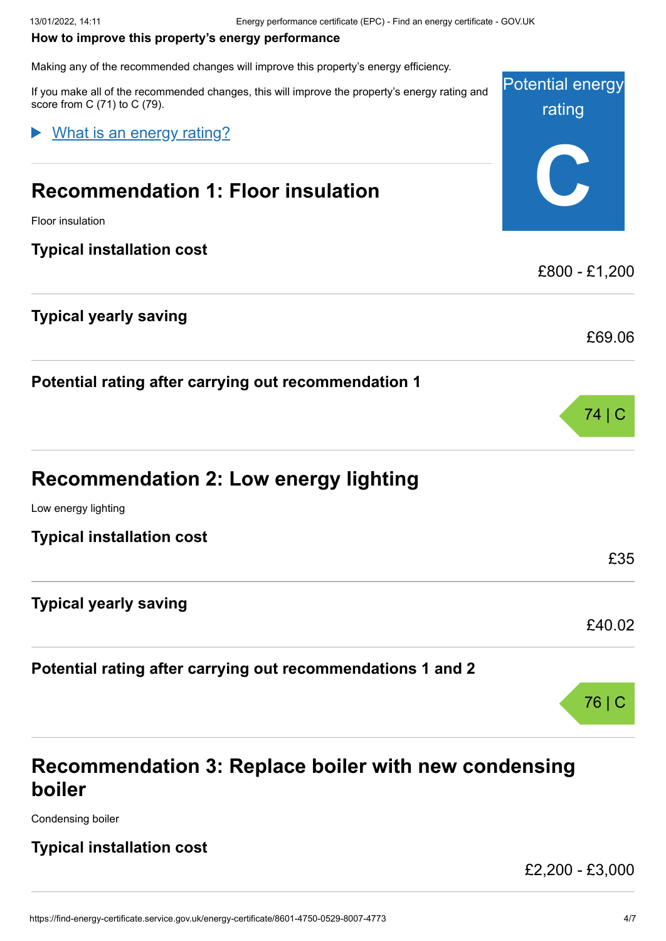#### <span id="page-3-0"></span>**How to improve this property's energy performance**

Making any of the recommended changes will improve this property's energy efficiency.

Potential energy rating **C** If you make all of the recommended changes, this will improve the property's energy rating and score from C (71) to C (79). **Recommendation 1: Floor insulation** Floor insulation **Typical installation cost** £800 - £1,200 **Typical yearly saving** £69.06 What is an energy rating?

**Potential rating after carrying out recommendation 1**

| <b>Recommendation 2: Low energy lighting</b> |  |
|----------------------------------------------|--|
| Low energy lighting                          |  |

| <b>Typical installation cost</b> | £35    |
|----------------------------------|--------|
| <b>Typical yearly saving</b>     |        |
|                                  | £40.02 |
|                                  |        |

### **Potential rating after carrying out recommendations 1 and 2**

## **Recommendation 3: Replace boiler with new condensing boiler**

Condensing boiler

#### **Typical installation cost**

£2,200 - £3,000

76 | C

74 | C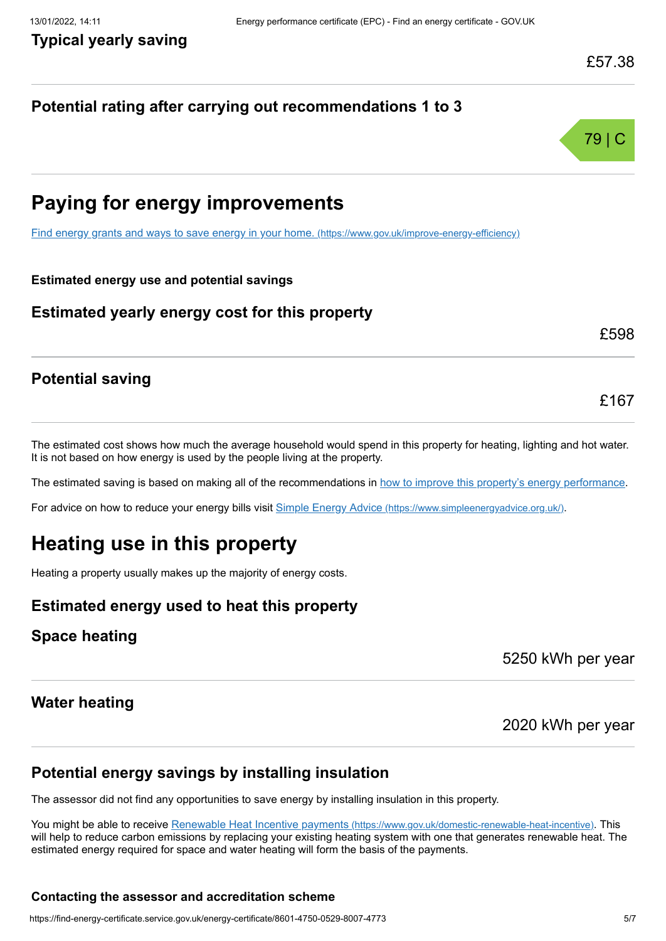#### **Potential rating after carrying out recommendations 1 to 3**



### **Paying for energy improvements**

[Find energy grants and ways to save energy in your home.](https://www.gov.uk/improve-energy-efficiency) (https://www.gov.uk/improve-energy-efficiency)

#### **Estimated energy use and potential savings**

#### **Estimated yearly energy cost for this property**

£598

£167

#### **Potential saving**

The estimated cost shows how much the average household would spend in this property for heating, lighting and hot water. It is not based on how energy is used by the people living at the property.

The estimated saving is based on making all of the recommendations in [how to improve this property's energy performance.](#page-3-0)

For advice on how to reduce your energy bills visit Simple Energy Advice [\(https://www.simpleenergyadvice.org.uk/\)](https://www.simpleenergyadvice.org.uk/).

### **Heating use in this property**

Heating a property usually makes up the majority of energy costs.

#### **Estimated energy used to heat this property**

#### **Space heating**

5250 kWh per year

#### **Water heating**

2020 kWh per year

#### **Potential energy savings by installing insulation**

The assessor did not find any opportunities to save energy by installing insulation in this property.

You might be able to receive Renewable Heat Incentive payments [\(https://www.gov.uk/domestic-renewable-heat-incentive\)](https://www.gov.uk/domestic-renewable-heat-incentive). This will help to reduce carbon emissions by replacing your existing heating system with one that generates renewable heat. The estimated energy required for space and water heating will form the basis of the payments.

#### **Contacting the assessor and accreditation scheme**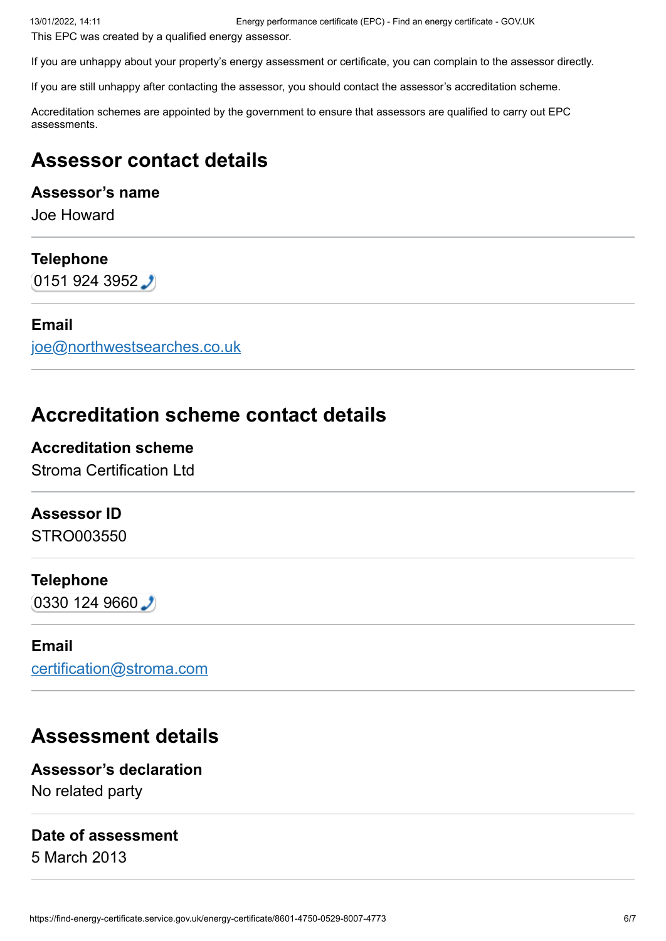This EPC was created by a qualified energy assessor.

If you are unhappy about your property's energy assessment or certificate, you can complain to the assessor directly.

If you are still unhappy after contacting the assessor, you should contact the assessor's accreditation scheme.

Accreditation schemes are appointed by the government to ensure that assessors are qualified to carry out EPC assessments.

### **Assessor contact details**

#### **Assessor's name**

Joe Howard

#### **Telephone**

 $(01519243952)$ 

#### **Email**

[joe@northwestsearches.co.uk](mailto:joe@northwestsearches.co.uk)

### **Accreditation scheme contact details**

#### **Accreditation scheme**

Stroma Certification Ltd

#### **Assessor ID**

STRO003550

#### **Telephone**

 $(0330 124 9660)$ 

#### **Email**

[certification@stroma.com](mailto:certification@stroma.com)

### **Assessment details**

**Assessor's declaration** No related party

#### **Date of assessment**

5 March 2013